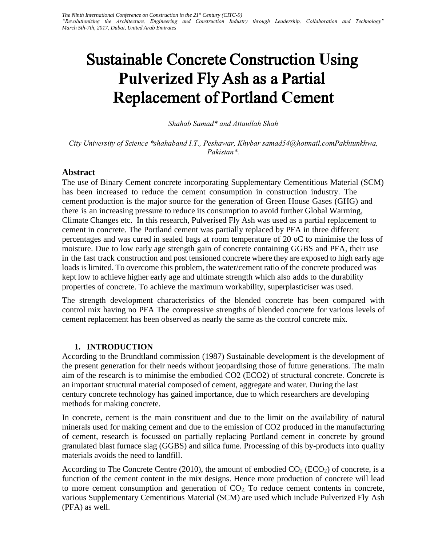# Sustainable Concrete Construction **U**sing **Pulverized** Fly Ash as a **P**artial **R**eplacement of Portland **C**ement

*Shahab Samad\* and Attaullah Shah* 

*City University of Science \*shahaband I.T., Peshawar, Khybar samad54@hotmail.comPakhtunkhwa, Pakistan\*.*

# **Abstract**

The use of Binary Cement concrete incorporating Supplementary Cementitious Material (SCM) has been increased to reduce the cement consumption in construction industry. The cement production is the major source for the generation of Green House Gases (GHG) and there is an increasing pressure to reduce its consumption to avoid further Global Warming, Climate Changes etc. In this research, Pulverised Fly Ash was used as a partial replacement to cement in concrete. The Portland cement was partially replaced by PFA in three different percentages and was cured in sealed bags at room temperature of 20 oC to minimise the loss of moisture. Due to low early age strength gain of concrete containing GGBS and PFA, their use in the fast track construction and post tensioned concrete where they are exposed to high early age loads is limited. To overcome this problem, the water/cement ratio of the concrete produced was kept low to achieve higher early age and ultimate strength which also adds to the durability properties of concrete. To achieve the maximum workability, superplasticiser was used.

The strength development characteristics of the blended concrete has been compared with control mix having no PFA The compressive strengths of blended concrete for various levels of cement replacement has been observed as nearly the same as the control concrete mix.

# **1. INTRODUCTION**

According to the Brundtland commission (1987) Sustainable development is the development of the present generation for their needs without jeopardising those of future generations. The main aim of the research is to minimise the embodied CO2 (ECO2) of structural concrete. Concrete is an important structural material composed of cement, aggregate and water. During the last century concrete technology has gained importance, due to which researchers are developing methods for making concrete.

In concrete, cement is the main constituent and due to the limit on the availability of natural minerals used for making cement and due to the emission of CO2 produced in the manufacturing of cement, research is focussed on partially replacing Portland cement in concrete by ground granulated blast furnace slag (GGBS) and silica fume. Processing of this by-products into quality materials avoids the need to landfill.

According to The Concrete Centre (2010), the amount of embodied  $CO_2$  (ECO<sub>2</sub>) of concrete, is a function of the cement content in the mix designs. Hence more production of concrete will lead to more cement consumption and generation of  $CO<sub>2</sub>$ . To reduce cement contents in concrete, various Supplementary Cementitious Material (SCM) are used which include Pulverized Fly Ash (PFA) as well.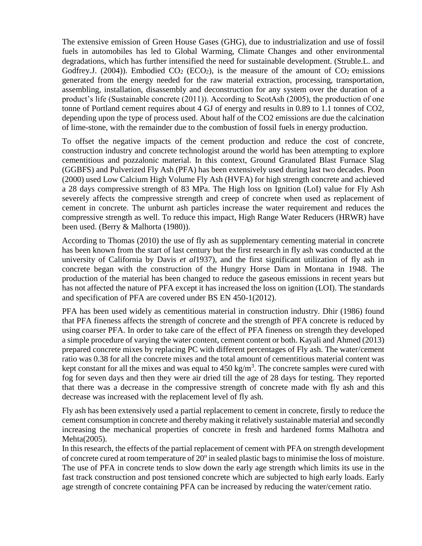The extensive emission of Green House Gases (GHG), due to industrialization and use of fossil fuels in automobiles has led to Global Warming, Climate Changes and other environmental degradations, which has further intensified the need for sustainable development. (Struble.L. and Godfrey.J. (2004)). Embodied  $CO_2$  (ECO<sub>2</sub>), is the measure of the amount of  $CO_2$  emissions generated from the energy needed for the raw material extraction, processing, transportation, assembling, installation, disassembly and deconstruction for any system over the duration of a product's life (Sustainable concrete (2011)). According to ScotAsh (2005), the production of one tonne of Portland cement requires about 4 GJ of energy and results in 0.89 to 1.1 tonnes of CO2, depending upon the type of process used. About half of the CO2 emissions are due the calcination of lime-stone, with the remainder due to the combustion of fossil fuels in energy production.

To offset the negative impacts of the cement production and reduce the cost of concrete, construction industry and concrete technologist around the world has been attempting to explore cementitious and pozzalonic material. In this context, Ground Granulated Blast Furnace Slag (GGBFS) and Pulverized Fly Ash (PFA) has been extensively used during last two decades. Poon (2000) used Low Calcium High Volume Fly Ash (HVFA) for high strength concrete and achieved a 28 days compressive strength of 83 MPa. The High loss on Ignition (LoI) value for Fly Ash severely affects the compressive strength and creep of concrete when used as replacement of cement in concrete. The unburnt ash particles increase the water requirement and reduces the compressive strength as well. To reduce this impact, High Range Water Reducers (HRWR) have been used. (Berry & Malhorta (1980)).

According to Thomas (2010) the use of fly ash as supplementary cementing material in concrete has been known from the start of last century but the first research in fly ash was conducted at the university of California by Davis *et al*1937), and the first significant utilization of fly ash in concrete began with the construction of the Hungry Horse Dam in Montana in 1948. The production of the material has been changed to reduce the gaseous emissions in recent years but has not affected the nature of PFA except it has increased the loss on ignition (LOI). The standards and specification of PFA are covered under BS EN 450-1(2012).

PFA has been used widely as cementitious material in construction industry. Dhir (1986) found that PFA fineness affects the strength of concrete and the strength of PFA concrete is reduced by using coarser PFA. In order to take care of the effect of PFA fineness on strength they developed a simple procedure of varying the water content, cement content or both. Kayali and Ahmed (2013) prepared concrete mixes by replacing PC with different percentages of Fly ash. The water/cement ratio was 0.38 for all the concrete mixes and the total amount of cementitious material content was kept constant for all the mixes and was equal to  $450 \text{ kg/m}^3$ . The concrete samples were cured with fog for seven days and then they were air dried till the age of 28 days for testing. They reported that there was a decrease in the compressive strength of concrete made with fly ash and this decrease was increased with the replacement level of fly ash.

Fly ash has been extensively used a partial replacement to cement in concrete, firstly to reduce the cement consumption in concrete and thereby making it relatively sustainable material and secondly increasing the mechanical properties of concrete in fresh and hardened forms Malhotra and Mehta(2005).

In this research, the effects of the partial replacement of cement with PFA on strength development of concrete cured at room temperature of  $20^{\circ}$  in sealed plastic bags to minimise the loss of moisture. The use of PFA in concrete tends to slow down the early age strength which limits its use in the fast track construction and post tensioned concrete which are subjected to high early loads. Early age strength of concrete containing PFA can be increased by reducing the water/cement ratio.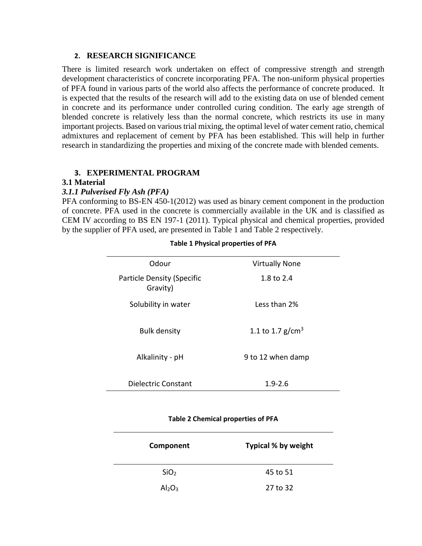# **2. RESEARCH SIGNIFICANCE**

There is limited research work undertaken on effect of compressive strength and strength development characteristics of concrete incorporating PFA. The non-uniform physical properties of PFA found in various parts of the world also affects the performance of concrete produced. It is expected that the results of the research will add to the existing data on use of blended cement in concrete and its performance under controlled curing condition. The early age strength of blended concrete is relatively less than the normal concrete, which restricts its use in many important projects. Based on various trial mixing, the optimal level of water cement ratio, chemical admixtures and replacement of cement by PFA has been established. This will help in further research in standardizing the properties and mixing of the concrete made with blended cements.

# **3. EXPERIMENTAL PROGRAM**

### **3.1 Material**

#### *3.1.1 Pulverised Fly Ash (PFA)*

PFA conforming to BS-EN 450-1(2012) was used as binary cement component in the production of concrete. PFA used in the concrete is commercially available in the UK and is classified as CEM IV according to BS EN 197-1 (2011). Typical physical and chemical properties, provided by the supplier of PFA used, are presented in Table 1 and Table 2 respectively.

| Odour                                         | <b>Virtually None</b>        |
|-----------------------------------------------|------------------------------|
| <b>Particle Density (Specific</b><br>Gravity) | 1.8 to 2.4                   |
| Solubility in water                           | Less than 2%                 |
| <b>Bulk density</b>                           | 1.1 to 1.7 g/cm <sup>3</sup> |
| Alkalinity - pH                               | 9 to 12 when damp            |
| Dielectric Constant                           | $1.9 - 2.6$                  |

## **Table 1 Physical properties of PFA**

#### **Table 2 Chemical properties of PFA**

| Component                      | Typical % by weight |
|--------------------------------|---------------------|
| SiO <sub>2</sub>               | 45 to 51            |
| Al <sub>2</sub> O <sub>3</sub> | 27 to 32            |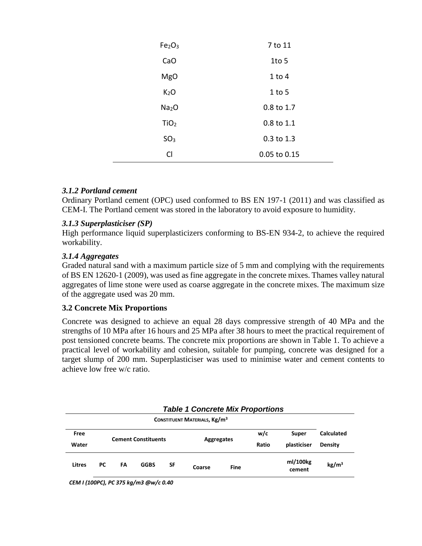| Fe <sub>2</sub> O <sub>3</sub> | 7 to 11      |
|--------------------------------|--------------|
| CaO                            | $1$ to 5     |
| <b>MgO</b>                     | $1$ to $4$   |
| K <sub>2</sub> O               | $1$ to 5     |
| Na <sub>2</sub> O              | 0.8 to 1.7   |
| TiO <sub>2</sub>               | 0.8 to 1.1   |
| SO <sub>3</sub>                | 0.3 to 1.3   |
| <b>CI</b>                      | 0.05 to 0.15 |

# *3.1.2 Portland cement*

Ordinary Portland cement (OPC) used conformed to BS EN 197-1 (2011) and was classified as CEM-I. The Portland cement was stored in the laboratory to avoid exposure to humidity.

# *3.1.3 Superplasticiser (SP)*

High performance liquid superplasticizers conforming to BS-EN 934-2, to achieve the required workability.

# *3.1.4 Aggregates*

Graded natural sand with a maximum particle size of 5 mm and complying with the requirements of BS EN 12620-1 (2009), was used as fine aggregate in the concrete mixes. Thames valley natural aggregates of lime stone were used as coarse aggregate in the concrete mixes. The maximum size of the aggregate used was 20 mm.

# **3.2 Concrete Mix Proportions**

Concrete was designed to achieve an equal 28 days compressive strength of 40 MPa and the strengths of 10 MPa after 16 hours and 25 MPa after 38 hours to meet the practical requirement of post tensioned concrete beams. The concrete mix proportions are shown in Table 1. To achieve a practical level of workability and cohesion, suitable for pumping, concrete was designed for a target slump of 200 mm. Superplasticiser was used to minimise water and cement contents to achieve low free w/c ratio.

|        | <b>Table 1 Concrete Mix Proportions</b> |    |                            |           |                                                |             |       |                    |                   |
|--------|-----------------------------------------|----|----------------------------|-----------|------------------------------------------------|-------------|-------|--------------------|-------------------|
|        |                                         |    |                            |           | <b>CONSTITUENT MATERIALS, Kg/m<sup>3</sup></b> |             |       |                    |                   |
| Free   |                                         |    |                            |           |                                                |             | w/c   | Super              | <b>Calculated</b> |
| Water  |                                         |    | <b>Cement Constituents</b> |           | Aggregates                                     |             | Ratio | plasticiser        | <b>Density</b>    |
| Litres | РC                                      | FA | <b>GGBS</b>                | <b>SF</b> | Coarse                                         | <b>Fine</b> |       | ml/100kg<br>cement | kg/m <sup>3</sup> |

*CEM I (100PC), PC 375 kg/m3 @w/c 0.40*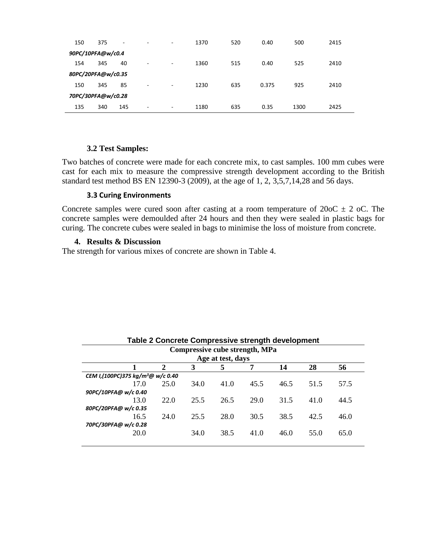| 150                | 375 | ٠   | ۰ | ٠ | 1370 | 520 | 0.40  | 500  | 2415 |
|--------------------|-----|-----|---|---|------|-----|-------|------|------|
| 90PC/10PFA@w/c0.4  |     |     |   |   |      |     |       |      |      |
| 154                | 345 | 40  | - | ٠ | 1360 | 515 | 0.40  | 525  | 2410 |
| 80PC/20PFA@w/c0.35 |     |     |   |   |      |     |       |      |      |
| 150                | 345 | 85  | - | ٠ | 1230 | 635 | 0.375 | 925  | 2410 |
| 70PC/30PFA@w/c0.28 |     |     |   |   |      |     |       |      |      |
| 135                | 340 | 145 | ۰ | ٠ | 1180 | 635 | 0.35  | 1300 | 2425 |

## **3.2 Test Samples:**

Two batches of concrete were made for each concrete mix, to cast samples. 100 mm cubes were cast for each mix to measure the compressive strength development according to the British standard test method BS EN 12390-3 (2009), at the age of 1, 2, 3,5,7,14,28 and 56 days.

## **3.3 Curing Environments**

Concrete samples were cured soon after casting at a room temperature of  $20oC \pm 2$  oC. The concrete samples were demoulded after 24 hours and then they were sealed in plastic bags for curing. The concrete cubes were sealed in bags to minimise the loss of moisture from concrete.

## **4. Results & Discussion**

The strength for various mixes of concrete are shown in Table 4.

| Age at test, days |                                               |      |      |      |                                |                                                   |  |  |  |  |
|-------------------|-----------------------------------------------|------|------|------|--------------------------------|---------------------------------------------------|--|--|--|--|
| 2                 | 3                                             | 5    | 7    | 14   | 28                             | 56                                                |  |  |  |  |
|                   |                                               |      |      |      |                                |                                                   |  |  |  |  |
| 25.0              | 34.0                                          | 41.0 | 45.5 | 46.5 | 51.5                           | 57.5                                              |  |  |  |  |
|                   |                                               |      |      |      |                                |                                                   |  |  |  |  |
| 22.0              | 25.5                                          | 26.5 | 29.0 | 31.5 | 41.0                           | 44.5                                              |  |  |  |  |
|                   |                                               |      |      |      |                                |                                                   |  |  |  |  |
| 24.0              | 25.5                                          | 28.0 | 30.5 | 38.5 | 42.5                           | 46.0                                              |  |  |  |  |
|                   |                                               |      |      |      |                                |                                                   |  |  |  |  |
|                   | 34.0                                          | 38.5 | 41.0 | 46.0 | 55.0                           | 65.0                                              |  |  |  |  |
|                   |                                               |      |      |      |                                |                                                   |  |  |  |  |
|                   | CEM I,(100PC)375 kg/m <sup>3</sup> @ w/c 0.40 |      |      |      | Compressive cube strength, MPa | Table 2 Concrete Compressive strength development |  |  |  |  |

**Table 2 Concrete Compressive strength development**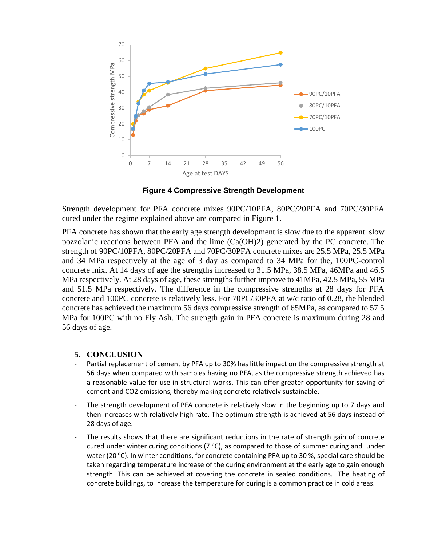

**Figure 4 Compressive Strength Development**

Strength development for PFA concrete mixes 90PC/10PFA, 80PC/20PFA and 70PC/30PFA cured under the regime explained above are compared in Figure 1.

PFA concrete has shown that the early age strength development is slow due to the apparent slow pozzolanic reactions between PFA and the lime (Ca(OH)2) generated by the PC concrete. The strength of 90PC/10PFA, 80PC/20PFA and 70PC/30PFA concrete mixes are 25.5 MPa, 25.5 MPa and 34 MPa respectively at the age of 3 day as compared to 34 MPa for the, 100PC-control concrete mix. At 14 days of age the strengths increased to 31.5 MPa, 38.5 MPa, 46MPa and 46.5 MPa respectively. At 28 days of age, these strengths further improve to 41MPa, 42.5 MPa, 55 MPa and 51.5 MPa respectively. The difference in the compressive strengths at 28 days for PFA concrete and 100PC concrete is relatively less. For 70PC/30PFA at w/c ratio of 0.28, the blended concrete has achieved the maximum 56 days compressive strength of 65MPa, as compared to 57.5 MPa for 100PC with no Fly Ash. The strength gain in PFA concrete is maximum during 28 and 56 days of age.

# **5. CONCLUSION**

- Partial replacement of cement by PFA up to 30% has little impact on the compressive strength at 56 days when compared with samples having no PFA, as the compressive strength achieved has a reasonable value for use in structural works. This can offer greater opportunity for saving of cement and CO2 emissions, thereby making concrete relatively sustainable.
- The strength development of PFA concrete is relatively slow in the beginning up to 7 days and then increases with relatively high rate. The optimum strength is achieved at 56 days instead of 28 days of age.
- The results shows that there are significant reductions in the rate of strength gain of concrete cured under winter curing conditions ( $7^{\circ}$ C), as compared to those of summer curing and under water (20 °C). In winter conditions, for concrete containing PFA up to 30 %, special care should be taken regarding temperature increase of the curing environment at the early age to gain enough strength. This can be achieved at covering the concrete in sealed conditions. The heating of concrete buildings, to increase the temperature for curing is a common practice in cold areas.